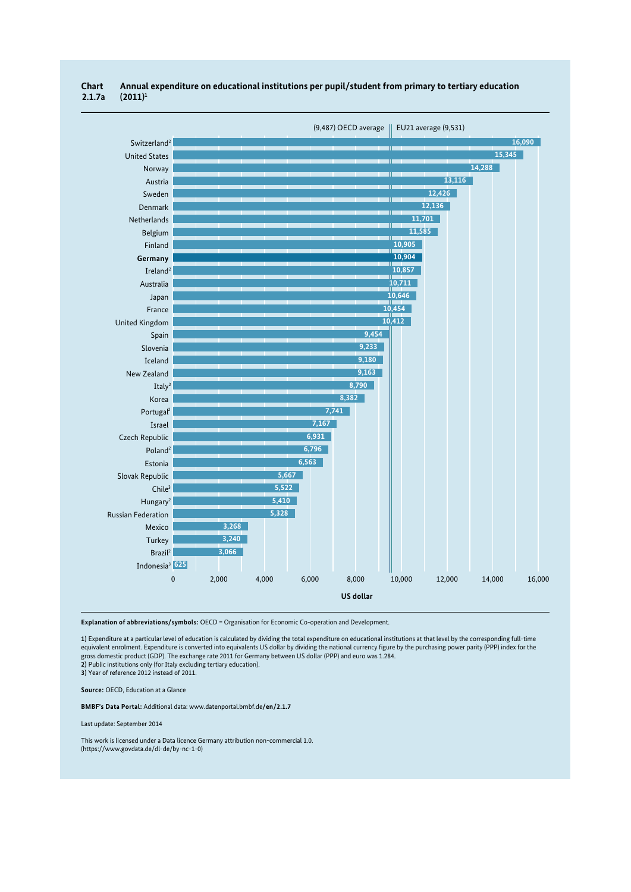

## **Chart Annual expenditure on educational institutions per pupil/student from primary to tertiary education 2.1.7a (2011)1**

**Explanation of abbreviations/symbols:** OECD = Organisation for Economic Co-operation and Development.

**1)** Expenditure at a particular level of education is calculated by dividing the total expenditure on educational institutions at that level by the corresponding full-time equivalent enrolment. Expenditure is converted into equivalents US dollar by dividing the national currency figure by the purchasing power parity (PPP) index for the gross domestic product (GDP). The exchange rate 2011 for Germany between US dollar (PPP) and euro was 1.284. **2)** Public institutions only (for Italy excluding tertiary education). **3)** Year of reference 2012 instead of 2011.

**Source:** OECD, Education at a Glance

**BMBF's Data Portal:** Additional data: www.datenportal.bmbf.de**/en/2.1.7**

Last update: September 2014

This work is licensed under a Data licence Germany attribution non-commercial 1.0. (https://www.govdata.de/dl-de/by-nc-1-0)